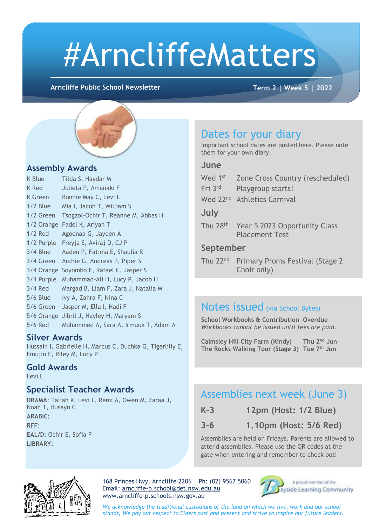# #ArncliffeMatters

**Arncliffe Public School Newsletter Term 2 | Week 5 | 2022**



#### **Assembly Awards**

| K Blue     | Tilda S, Haydar M                    |
|------------|--------------------------------------|
| K Red      | Julieta P, Amanaki F                 |
| K Green    | Bonnie May C, Levi L                 |
| $1/2$ Blue | Mia I, Jacob T, William S            |
| 1/2 Green  | Tsogzol-Ochir T, Reanne M, Abbas H   |
|            | 1/2 Orange Fadel K, Ariyah T         |
| $1/2$ Red  | Agoonaa G, Jayden A                  |
| 1/2 Purple | Freyja S, Aviraj D, CJ P             |
| $3/4$ Blue | Aaden P, Fatima E, Shaulia R         |
| 3/4 Green  | Archie G, Andreas P, Piper S         |
| 3/4 Orange | Soyombo E, Rafael C, Jasper S        |
| 3/4 Purple | Muhammad-Ali H, Lucy P, Jacob H      |
| $3/4$ Red  | Margad B, Liam F, Zara J, Natalia M  |
| $5/6$ Blue | Ivy A, Zahra F, Nina C               |
| 5/6 Green  | Jasper M, Ella I, Hadi F             |
| 5/6 Orange | Jibril J, Hayley H, Maryam S         |
| 5/6 Red    | Mohammed A, Sara A, Irmuuk T, Adam A |

#### **Silver Awards**

Hussain I, Gabrielle H, Marcus C, Duchka G, Tigerlilly E, Emujin E, Riley M, Lucy P

#### **Gold Awards** Levi L

#### **Specialist Teacher Awards**

**DRAMA**: Taliah K, Levi L, Remi A, Owen M, Zaraa J, Noah T, Husayn C **ARABIC: RFF**: **EAL/D:** Ochir E, Sofia P **LIBRARY:** 

### Dates for your diary

Important school dates are posted here. Please note them for your own diary.

#### **June**

| Wed 1st              | Zone Cross Country (rescheduled)                       |  |  |  |  |
|----------------------|--------------------------------------------------------|--|--|--|--|
| Fri 3rd              | Playgroup starts!                                      |  |  |  |  |
|                      | Wed 22 <sup>nd</sup> Athletics Carnival                |  |  |  |  |
| July                 |                                                        |  |  |  |  |
| Thu 28 <sup>th</sup> | Year 5 2023 Opportunity Class<br><b>Placement Test</b> |  |  |  |  |
| Sontamhor            |                                                        |  |  |  |  |

#### **September**

Thu 22<sup>nd</sup> Primary Proms Festival (Stage 2 Choir only)

#### ł Notes issued (via School Bytes)

 *Workbooks cannot be issued until fees are paid.* **School Workbooks & Contribution Overdue**

**Calmsley Hill City Farm (Kindy) Thu 2nd Jun The Rocks Walking Tour (Stage 3) Tue 7th Jun**

#### Assemblies next week (June 3)

| $K-3$ |  |  | 12pm (Host: 1/2 Blue) |  |  |  |
|-------|--|--|-----------------------|--|--|--|
|-------|--|--|-----------------------|--|--|--|

**3-6 1.10pm (Host: 5/6 Red)**

Assemblies are held on Fridays. Parents are allowed to attend assemblies. Please use the QR codes at the gate when entering and remember to check out!



168 Princes Hwy, Arncliffe 2206 | Ph: (02) 9567 5060 Email: [arncliffe-p.school@det.nsw.edu.au](mailto:arncliffe-p.school@det.nsw.edu.au) [www.arncliffe-p.schools.nsw.gov.au](http://www.arncliffe-p.schools.nsw.gov.au/)



A proud member of the ayside Learning Community

*We acknowledge the traditional custodians of the land on which we live, work and our school stands, We pay our respect to Elders past and present and strive to inspire our future leaders.*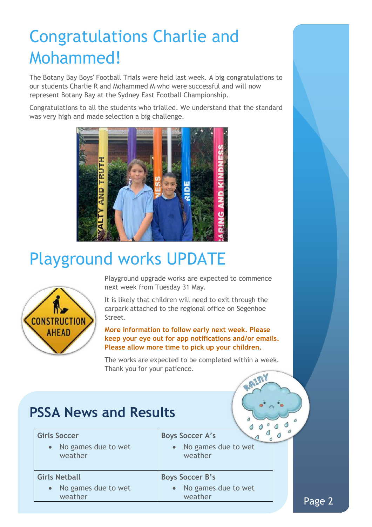### Congratulations Charlie and Mohammed!

The Botany Bay Boys' Football Trials were held last week. A big congratulations to our students Charlie R and Mohammed M who were successful and will now represent Botany Bay at the Sydney East Football Championship.

Congratulations to all the students who trialled. We understand that the standard was very high and made selection a big challenge.



### Playground works UPDATE



Playground upgrade works are expected to commence next week from Tuesday 31 May.

It is likely that children will need to exit through the carpark attached to the regional office on Segenhoe Street.

**More information to follow early next week. Please keep your eye out for app notifications and/or emails. Please allow more time to pick up your children.**

The works are expected to be completed within a week. Thank you for your patience.RAIM

### **PSSA News and Results**

| <b>Girls Soccer</b><br>• No games due to wet<br>weather | <b>Boys Soccer A's</b><br>No games due to wet<br>weather |  |
|---------------------------------------------------------|----------------------------------------------------------|--|
| <b>Girls Netball</b>                                    | <b>Boys Soccer B's</b>                                   |  |
| • No games due to wet<br>weather                        | No games due to wet<br>weather                           |  |

 $\mathcal{O}$ 

 $10$ 

 $10$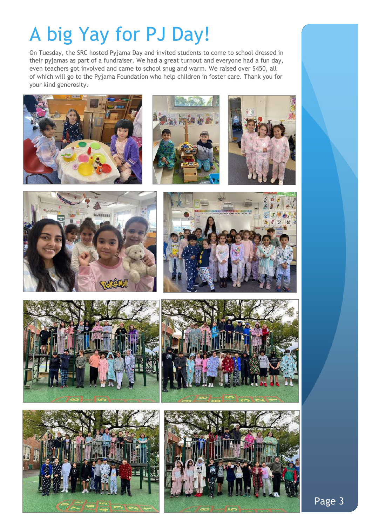## A big Yay for PJ Day!

On Tuesday, the SRC hosted Pyjama Day and invited students to come to school dressed in their pyjamas as part of a fundraiser. We had a great turnout and everyone had a fun day, even teachers got involved and came to school snug and warm. We raised over \$450, all of which will go to the Pyjama Foundation who help children in foster care. Thank you for your kind generosity.















Page 3